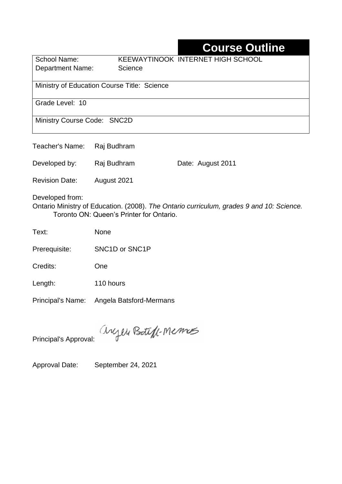## **Course Outline**

School Name: KEEWAYTINOOK INTERNET HIGH SCHOOL Department Name: Science

Ministry of Education Course Title: Science

Grade Level: 10

Ministry Course Code: SNC2D

Teacher's Name: Raj Budhram

Developed by: Raj Budhram Date: August 2011

Revision Date: August 2021

Developed from:

Ontario Ministry of Education. (2008). *The Ontario curriculum, grades 9 and 10: Science.*  Toronto ON: Queen's Printer for Ontario.

Text: None

Prerequisite: SNC1D or SNC1P

Credits: One

Length: 110 hours

Principal's Name: Angela Batsford-Mermans

anyen Boteff-Memos

Principal's Approval:

Approval Date: September 24, 2021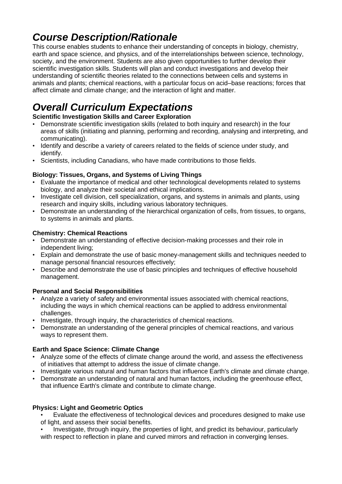# *Course Description/Rationale*

This course enables students to enhance their understanding of concepts in biology, chemistry, earth and space science, and physics, and of the interrelationships between science, technology, society, and the environment. Students are also given opportunities to further develop their scientific investigation skills. Students will plan and conduct investigations and develop their understanding of scientific theories related to the connections between cells and systems in animals and plants; chemical reactions, with a particular focus on acid–base reactions; forces that affect climate and climate change; and the interaction of light and matter.

# *Overall Curriculum Expectations*

### **Scientific Investigation Skills and Career Exploration**

- Demonstrate scientific investigation skills (related to both inquiry and research) in the four areas of skills (initiating and planning, performing and recording, analysing and interpreting, and communicating).
- Identify and describe a variety of careers related to the fields of science under study, and identify.
- Scientists, including Canadians, who have made contributions to those fields.

### **Biology: Tissues, Organs, and Systems of Living Things**

- Evaluate the importance of medical and other technological developments related to systems biology, and analyze their societal and ethical implications.
- Investigate cell division, cell specialization, organs, and systems in animals and plants, using research and inquiry skills, including various laboratory techniques.
- Demonstrate an understanding of the hierarchical organization of cells, from tissues, to organs, to systems in animals and plants.

### **Chemistry: Chemical Reactions**

- Demonstrate an understanding of effective decision-making processes and their role in independent living;
- Explain and demonstrate the use of basic money-management skills and techniques needed to manage personal financial resources effectively;
- Describe and demonstrate the use of basic principles and techniques of effective household management.

### **Personal and Social Responsibilities**

- Analyze a variety of safety and environmental issues associated with chemical reactions, including the ways in which chemical reactions can be applied to address environmental challenges.
- Investigate, through inquiry, the characteristics of chemical reactions.
- Demonstrate an understanding of the general principles of chemical reactions, and various ways to represent them.

### **Earth and Space Science: Climate Change**

- Analyze some of the effects of climate change around the world, and assess the effectiveness of initiatives that attempt to address the issue of climate change.
- Investigate various natural and human factors that influence Earth's climate and climate change.
- Demonstrate an understanding of natural and human factors, including the greenhouse effect, that influence Earth's climate and contribute to climate change.

#### **Physics: Light and Geometric Optics**

• Evaluate the effectiveness of technological devices and procedures designed to make use of light, and assess their social benefits.

• Investigate, through inquiry, the properties of light, and predict its behaviour, particularly with respect to reflection in plane and curved mirrors and refraction in converging lenses.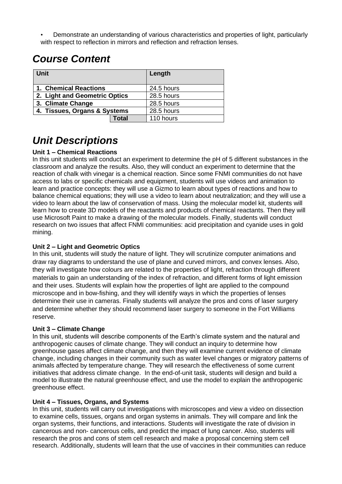• Demonstrate an understanding of various characteristics and properties of light, particularly with respect to reflection in mirrors and reflection and refraction lenses.

## *Course Content*

| <b>Unit</b>                   |       | Length     |
|-------------------------------|-------|------------|
| 1. Chemical Reactions         |       | 24.5 hours |
| 2. Light and Geometric Optics |       | 28.5 hours |
| 3. Climate Change             |       | 28.5 hours |
| 4. Tissues, Organs & Systems  |       | 28.5 hours |
|                               | Total | 110 hours  |

# *Unit Descriptions*

### **Unit 1 – Chemical Reactions**

In this unit students will conduct an experiment to determine the pH of 5 different substances in the classroom and analyze the results. Also, they will conduct an experiment to determine that the reaction of chalk with vinegar is a chemical reaction. Since some FNMI communities do not have access to labs or specific chemicals and equipment, students will use videos and animation to learn and practice concepts: they will use a Gizmo to learn about types of reactions and how to balance chemical equations; they will use a video to learn about neutralization; and they will use a video to learn about the law of conservation of mass. Using the molecular model kit, students will learn how to create 3D models of the reactants and products of chemical reactants. Then they will use Microsoft Paint to make a drawing of the molecular models. Finally, students will conduct research on two issues that affect FNMI communities: acid precipitation and cyanide uses in gold mining.

#### **Unit 2 – Light and Geometric Optics**

In this unit, students will study the nature of light. They will scrutinize computer animations and draw ray diagrams to understand the use of plane and curved mirrors, and convex lenses. Also, they will investigate how colours are related to the properties of light, refraction through different materials to gain an understanding of the index of refraction, and different forms of light emission and their uses. Students will explain how the properties of light are applied to the compound microscope and in bow-fishing, and they will identify ways in which the properties of lenses determine their use in cameras. Finally students will analyze the pros and cons of laser surgery and determine whether they should recommend laser surgery to someone in the Fort Williams reserve.

#### **Unit 3 – Climate Change**

In this unit, students will describe components of the Earth's climate system and the natural and anthropogenic causes of climate change. They will conduct an inquiry to determine how greenhouse gases affect climate change, and then they will examine current evidence of climate change, including changes in their community such as water level changes or migratory patterns of animals affected by temperature change. They will research the effectiveness of some current initiatives that address climate change. In the end-of-unit task, students will design and build a model to illustrate the natural greenhouse effect, and use the model to explain the anthropogenic greenhouse effect.

#### **Unit 4 – Tissues, Organs, and Systems**

In this unit, students will carry out investigations with microscopes and view a video on dissection to examine cells, tissues, organs and organ systems in animals. They will compare and link the organ systems, their functions, and interactions. Students will investigate the rate of division in cancerous and non- cancerous cells, and predict the impact of lung cancer. Also, students will research the pros and cons of stem cell research and make a proposal concerning stem cell research. Additionally, students will learn that the use of vaccines in their communities can reduce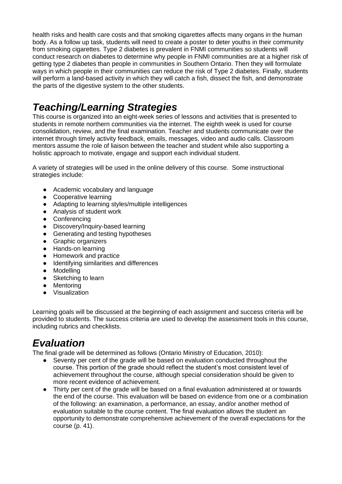health risks and health care costs and that smoking cigarettes affects many organs in the human body. As a follow up task, students will need to create a poster to deter youths in their community from smoking cigarettes. Type 2 diabetes is prevalent in FNMI communities so students will conduct research on diabetes to determine why people in FNMI communities are at a higher risk of getting type 2 diabetes than people in communities in Southern Ontario. Then they will formulate ways in which people in their communities can reduce the risk of Type 2 diabetes. Finally, students will perform a land-based activity in which they will catch a fish, dissect the fish, and demonstrate the parts of the digestive system to the other students.

# *Teaching/Learning Strategies*

This course is organized into an eight-week series of lessons and activities that is presented to students in remote northern communities via the internet. The eighth week is used for course consolidation, review, and the final examination. Teacher and students communicate over the internet through timely activity feedback, emails, messages, video and audio calls. Classroom mentors assume the role of liaison between the teacher and student while also supporting a holistic approach to motivate, engage and support each individual student.

A variety of strategies will be used in the online delivery of this course. Some instructional strategies include:

- Academic vocabulary and language
- Cooperative learning
- Adapting to learning styles/multiple intelligences
- Analysis of student work
- Conferencing
- Discovery/Inquiry-based learning
- Generating and testing hypotheses
- Graphic organizers
- Hands-on learning
- Homework and practice
- Identifying similarities and differences
- Modelling
- Sketching to learn
- **Mentoring**
- Visualization

Learning goals will be discussed at the beginning of each assignment and success criteria will be provided to students. The success criteria are used to develop the assessment tools in this course, including rubrics and checklists.

## *Evaluation*

The final grade will be determined as follows (Ontario Ministry of Education, 2010):

- Seventy per cent of the grade will be based on evaluation conducted throughout the course. This portion of the grade should reflect the student's most consistent level of achievement throughout the course, although special consideration should be given to more recent evidence of achievement.
- Thirty per cent of the grade will be based on a final evaluation administered at or towards the end of the course. This evaluation will be based on evidence from one or a combination of the following: an examination, a performance, an essay, and/or another method of evaluation suitable to the course content. The final evaluation allows the student an opportunity to demonstrate comprehensive achievement of the overall expectations for the course (p. 41).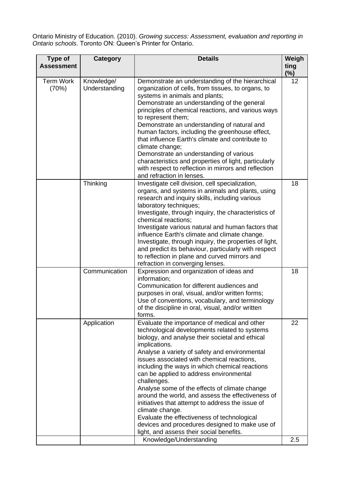Ontario Ministry of Education. (2010). *Growing success: Assessment, evaluation and reporting in Ontario schools*. Toronto ON: Queen's Printer for Ontario.

| Type of<br><b>Assessment</b> | <b>Category</b>             | <b>Details</b>                                                                                                                                                                                                                                                                                                                                                                                                                                                                                                                                                                                                                                                                                                                    | Weigh<br>ting<br>$(\%)$ |
|------------------------------|-----------------------------|-----------------------------------------------------------------------------------------------------------------------------------------------------------------------------------------------------------------------------------------------------------------------------------------------------------------------------------------------------------------------------------------------------------------------------------------------------------------------------------------------------------------------------------------------------------------------------------------------------------------------------------------------------------------------------------------------------------------------------------|-------------------------|
| <b>Term Work</b><br>(70%)    | Knowledge/<br>Understanding | Demonstrate an understanding of the hierarchical<br>organization of cells, from tissues, to organs, to<br>systems in animals and plants;<br>Demonstrate an understanding of the general<br>principles of chemical reactions, and various ways<br>to represent them;<br>Demonstrate an understanding of natural and<br>human factors, including the greenhouse effect,<br>that influence Earth's climate and contribute to<br>climate change;<br>Demonstrate an understanding of various<br>characteristics and properties of light, particularly<br>with respect to reflection in mirrors and reflection<br>and refraction in lenses.                                                                                             | 12                      |
|                              | Thinking                    | Investigate cell division, cell specialization,<br>organs, and systems in animals and plants, using<br>research and inquiry skills, including various<br>laboratory techniques;<br>Investigate, through inquiry, the characteristics of<br>chemical reactions;<br>Investigate various natural and human factors that<br>influence Earth's climate and climate change.<br>Investigate, through inquiry, the properties of light,<br>and predict its behaviour, particularly with respect<br>to reflection in plane and curved mirrors and<br>refraction in converging lenses.                                                                                                                                                      | 18                      |
|                              | Communication               | Expression and organization of ideas and<br>information;<br>Communication for different audiences and<br>purposes in oral, visual, and/or written forms;<br>Use of conventions, vocabulary, and terminology<br>of the discipline in oral, visual, and/or written<br>forms.                                                                                                                                                                                                                                                                                                                                                                                                                                                        | 18                      |
|                              | Application                 | Evaluate the importance of medical and other<br>technological developments related to systems<br>biology, and analyse their societal and ethical<br>implications.<br>Analyse a variety of safety and environmental<br>issues associated with chemical reactions,<br>including the ways in which chemical reactions<br>can be applied to address environmental<br>challenges.<br>Analyse some of the effects of climate change<br>around the world, and assess the effectiveness of<br>initiatives that attempt to address the issue of<br>climate change.<br>Evaluate the effectiveness of technological<br>devices and procedures designed to make use of<br>light, and assess their social benefits.<br>Knowledge/Understanding | 22<br>2.5               |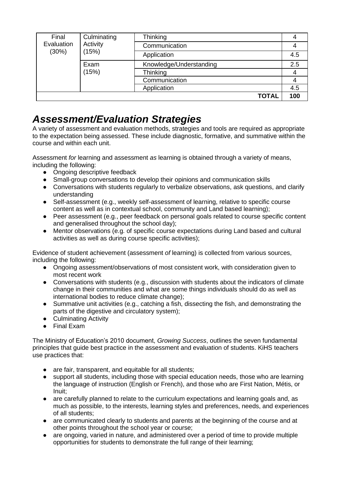| Culminating<br>Final<br>Evaluation<br>Activity<br>(30%)<br>(15%) | Thinking      |                         |     |
|------------------------------------------------------------------|---------------|-------------------------|-----|
|                                                                  |               | Communication           |     |
|                                                                  |               | Application             | 4.5 |
| Exam<br>(15%)                                                    |               | Knowledge/Understanding | 2.5 |
|                                                                  | Thinking      |                         |     |
|                                                                  | Communication |                         |     |
|                                                                  |               | Application             | 4.5 |
|                                                                  |               | <b>TOTAL</b>            | 100 |

## *Assessment/Evaluation Strategies*

A variety of assessment and evaluation methods, strategies and tools are required as appropriate to the expectation being assessed. These include diagnostic, formative, and summative within the course and within each unit.

Assessment *for* learning and assessment *as* learning is obtained through a variety of means, including the following:

- Ongoing descriptive feedback
- Small-group conversations to develop their opinions and communication skills
- Conversations with students regularly to verbalize observations, ask questions, and clarify understanding
- Self-assessment (e.g., weekly self-assessment of learning, relative to specific course content as well as in contextual school, community and Land based learning);
- Peer assessment (e.g., peer feedback on personal goals related to course specific content and generalised throughout the school day);
- Mentor observations (e.g. of specific course expectations during Land based and cultural activities as well as during course specific activities);

Evidence of student achievement (assessment *of* learning) is collected from various sources, including the following:

- Ongoing assessment/observations of most consistent work, with consideration given to most recent work
- Conversations with students (e.g., discussion with students about the indicators of climate change in their communities and what are some things individuals should do as well as international bodies to reduce climate change);
- Summative unit activities (e.g., catching a fish, dissecting the fish, and demonstrating the parts of the digestive and circulatory system);
- Culminating Activity
- Final Exam

The Ministry of Education's 2010 document, *Growing Success*, outlines the seven fundamental principles that guide best practice in the assessment and evaluation of students. KiHS teachers use practices that:

- are fair, transparent, and equitable for all students;
- support all students, including those with special education needs, those who are learning the language of instruction (English or French), and those who are First Nation, Métis, or Inuit;
- are carefully planned to relate to the curriculum expectations and learning goals and, as much as possible, to the interests, learning styles and preferences, needs, and experiences of all students;
- are communicated clearly to students and parents at the beginning of the course and at other points throughout the school year or course;
- are ongoing, varied in nature, and administered over a period of time to provide multiple opportunities for students to demonstrate the full range of their learning;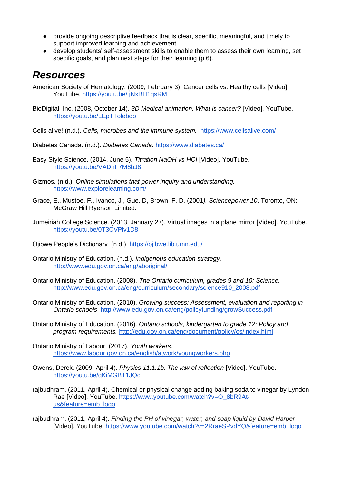- provide ongoing descriptive feedback that is clear, specific, meaningful, and timely to support improved learning and achievement;
- develop students' self-assessment skills to enable them to assess their own learning, set specific goals, and plan next steps for their learning (p.6).

### *Resources*

American Society of Hematology. (2009, February 3). Cancer cells vs. Healthy cells [Video]. YouTube.<https://youtu.be/tjNxBH1qsRM>

BioDigital, Inc. (2008, October 14). *3D Medical animation: What is cancer?* [Video]. YouTube. <https://youtu.be/LEpTTolebqo>

Cells alive! (n.d.). *Cells, microbes and the immune system.* <https://www.cellsalive.com/>

- Diabetes Canada. (n.d.). *Diabetes Canada.* <https://www.diabetes.ca/>
- Easy Style Science. (2014, June 5). *Titration NaOH vs HCI* [Video]. YouTube. <https://youtu.be/VADhF7M8bJ8>
- Gizmos. (n.d.). *Online simulations that power inquiry and understanding.* <https://www.explorelearning.com/>
- Grace, E., Mustoe, F., Ivanco, J., Gue. D, Brown, F. D. (2001*). Sciencepower 10*. Toronto, ON: McGraw Hill Ryerson Limited.
- Jumeiriah College Science. (2013, January 27). Virtual images in a plane mirror [Video]. YouTube. <https://youtu.be/0T3CVPlv1D8>

Ojibwe People's Dictionary. (n.d.).<https://ojibwe.lib.umn.edu/>

Ontario Ministry of Education. (n.d.). *Indigenous education strategy.* <http://www.edu.gov.on.ca/eng/aboriginal/>

- Ontario Ministry of Education. (2008). *The Ontario curriculum, grades 9 and 10: Science.*  [http://www.edu.gov.on.ca/eng/curriculum/secondary/science910\\_2008.pdf](http://www.edu.gov.on.ca/eng/curriculum/secondary/science910_2008.pdf)
- Ontario Ministry of Education. (2010). *Growing success: Assessment, evaluation and reporting in Ontario schools*.<http://www.edu.gov.on.ca/eng/policyfunding/growSuccess.pdf>
- Ontario Ministry of Education. (2016). *Ontario schools, kindergarten to grade 12: Policy and program requirements.* <http://edu.gov.on.ca/eng/document/policy/os/index.html>
- Ontario Ministry of Labour. (2017). *Youth workers*. <https://www.labour.gov.on.ca/english/atwork/youngworkers.php>
- Owens, Derek. (2009, April 4). *Physics 11.1.1b: The law of reflection* [Video]. YouTube. <https://youtu.be/qKiMGBT1JQc>
- rajbudhram. (2011, April 4). Chemical or physical change adding baking soda to vinegar by Lyndon Rae [Video]. YouTube. [https://www.youtube.com/watch?v=O\\_8bR9At](https://www.youtube.com/watch?v=O_8bR9At-us&feature=emb_logo)[us&feature=emb\\_logo](https://www.youtube.com/watch?v=O_8bR9At-us&feature=emb_logo)

rajbudhram. (2011, April 4). *Finding the PH of vinegar, water, and soap liquid by David Harper*  [Video]. YouTube. [https://www.youtube.com/watch?v=2RraeSPvdYQ&feature=emb\\_logo](https://www.youtube.com/watch?v=2RraeSPvdYQ&feature=emb_logo)